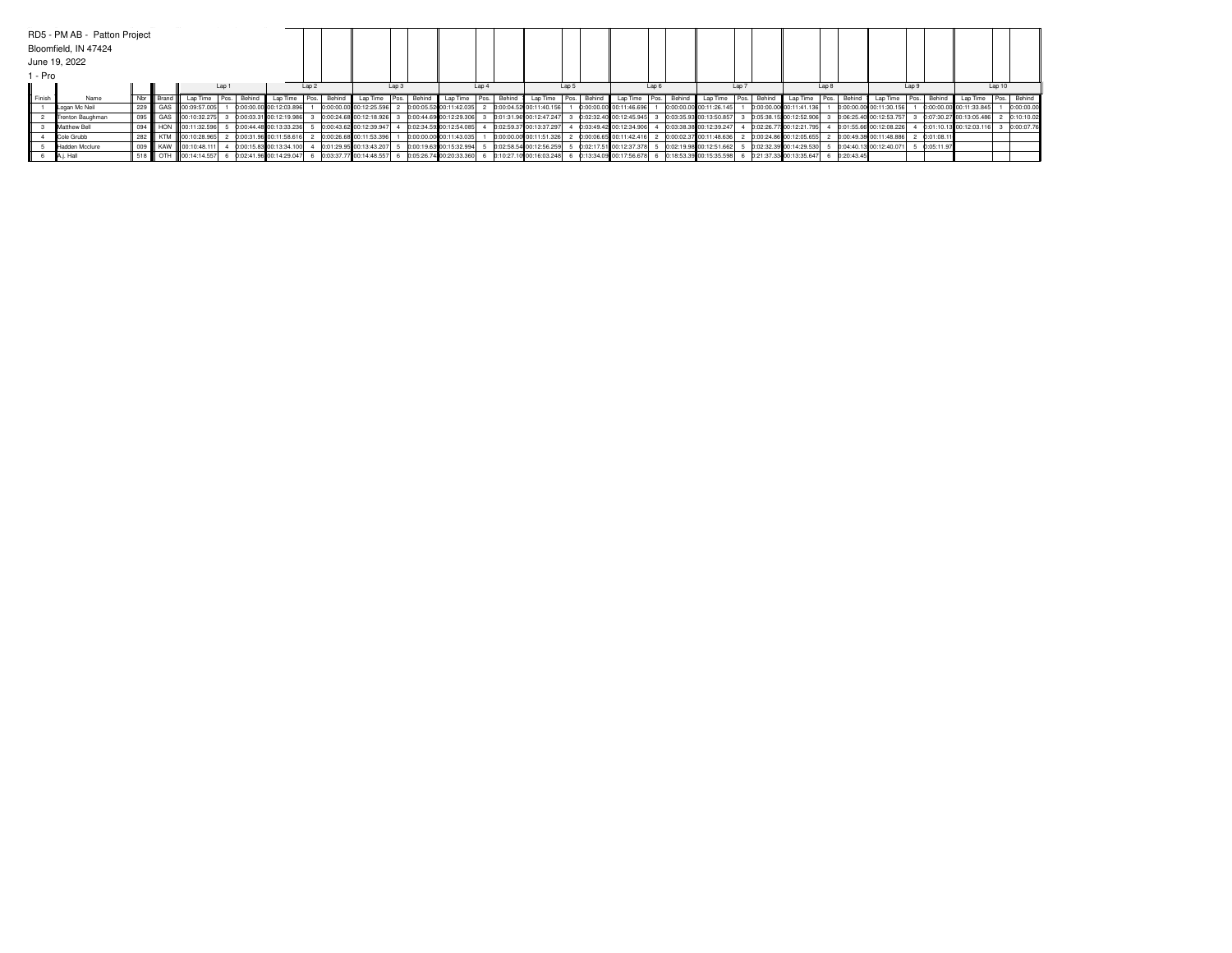|                 | RD5 - PM AB - Patton Project |        |         |                      |       |        |                         |       |        |                                                     |                         |                  |             |                           |       |                           |                                  |                           |                            |                         |       |              |                         |       |            |                         |        |             |
|-----------------|------------------------------|--------|---------|----------------------|-------|--------|-------------------------|-------|--------|-----------------------------------------------------|-------------------------|------------------|-------------|---------------------------|-------|---------------------------|----------------------------------|---------------------------|----------------------------|-------------------------|-------|--------------|-------------------------|-------|------------|-------------------------|--------|-------------|
|                 | Bloomfield, IN 47424         |        |         |                      |       |        |                         |       |        |                                                     |                         |                  |             |                           |       |                           |                                  |                           |                            |                         |       |              |                         |       |            |                         |        |             |
|                 | June 19, 2022                |        |         |                      |       |        |                         |       |        |                                                     |                         |                  |             |                           |       |                           |                                  |                           |                            |                         |       |              |                         |       |            |                         |        |             |
| - Pro           |                              |        |         |                      |       |        |                         |       |        |                                                     |                         |                  |             |                           |       |                           |                                  |                           |                            |                         |       |              |                         |       |            |                         |        |             |
|                 |                              |        |         |                      | Lap 1 |        |                         | Lap 2 |        | Lap <sub>3</sub>                                    |                         | Lap <sub>4</sub> |             |                           | Lap 5 |                           | Lap <sub>6</sub>                 |                           | Lap 7                      |                         | Lap 8 |              |                         | Lap 9 |            |                         | Lap 10 |             |
| <b>I</b> Finish | Name                         | Nbr II | Brand I | Lap Time             |       | Behind | Lap Time                |       | Behind | Lap Time Pos.   Behind                              | Lap Time                |                  | Pos. Behind | Lap Time   Pos.   Behind  |       | Lap Time                  | Behind<br>$\sim$   Pos. I $\sim$ | Lap Time                  | Behinc<br>$-$   Pos. I $+$ | Lap Time                | Pos.  | Behind       | Lap Time                | Pos.  | Behind     | Lap Time                |        | Pos. Behind |
|                 | Logan Mc Neil                | 229    |         | GAS 00:09:57.005     |       |        | 0:00:00.00 00:12:03.896 |       |        | 0:00:00.00 00:12:25.596                             | 0:00:05.52 00:11:42.035 |                  |             | 0:00:04.52 00:11:40.156   |       | 0:00:00.00 00:11:46.696   |                                  | 0:00:00.00 00:11:26.145   |                            | 0:00:00.00 00:11:41.136 |       |              | 0:00:00.00 00:11:30.156 |       |            | 0:00:00.00 00:11:33.845 |        | 0:00:00.0   |
|                 | Trenton Baughman             | 095    |         | GAS 00:10:32.275     |       |        | 0:00:03.31 00:12:19.986 |       |        | 0:00:24.68 00:12:18.926                             | 0:00:44.69 00:12:29.306 |                  |             | 0:01:31.96 00:12:47.247   |       | 0:02:32.40 00:12:45.945   |                                  | 0:03:35.93 00:13:50.857   |                            | 0:05:38.15 00:12:52.906 |       |              | 0:06:25.40 00:12:53.757 |       |            | 0:07:30.27 00:13:05.486 |        | 0:10:10.02  |
|                 | Matthew Bell                 | 094    |         | HON 100:11:32.596    |       |        | 0:00:44.48 00:13:33.236 |       |        | 0:00:43.62 00:12:39.947                             | 0:02:34.59 00:12:54.085 |                  |             | 0:02:59.37 00:13:37.297   |       | 0:03:49.42 00:12:34.906   |                                  | 0:03:38.38 00:12:39.247   |                            | 0:02:26.77 00:12:21.795 |       |              | 0:01:55.66 00:12:08.226 |       |            | 0:01:10.13 00:12:03.116 |        | 0:00:07.76  |
|                 | Cole Grubb                   | 282    |         | KTM 00:10:28.965     |       |        | 0:00:31.96 00:11:58.616 |       |        | 0:00:26.68 00:11:53.396                             | 0:00:00.00 00:11:43.035 |                  |             | 0:00:00.00 00:11:51.326   |       | 0:00:06.65 00:11:42.416   |                                  | 0:00:02.37 00:11:48.636   |                            | 0:00:24.86 00:12:05.655 |       |              | 0:00:49.38 00:11:48.886 |       | 0:01:08.1  |                         |        |             |
|                 | Hadden Mcclure               | 009    |         | KAW 00:10:48.111     |       |        | 0:00:15.83 00:13:34.100 |       |        | 0:01:29.95 00:13:43.207 5                           | 0:00:19.63 00:15:32.994 |                  |             | 0:02:58.54 00:12:56.259   |       | 0:02:17.51 00:12:37.378   |                                  | 0:02:19.98 00:12:51.662   |                            | 0:02:32.39 00:14:29.530 |       |              | 0:04:40.13 00:12:40.071 |       | 0:05:11.97 |                         |        |             |
|                 | A.j. Hall                    |        |         | 518 CTH 00:14:14.557 |       |        | 0:02:41.96 00:14:29.047 |       |        | 6 0:03:37.77 00:14:48.557 6 0:05:26.74 00:20:33.360 |                         |                  |             | 6 0:10:27.10 00:16:03.248 |       | 6 0:13:34.09 00:17:56.678 |                                  | 6 0:18:53.39 00:15:35.598 |                            | 0:21:37.33 00:13:35.647 |       | 6 0:20:43.45 |                         |       |            |                         |        |             |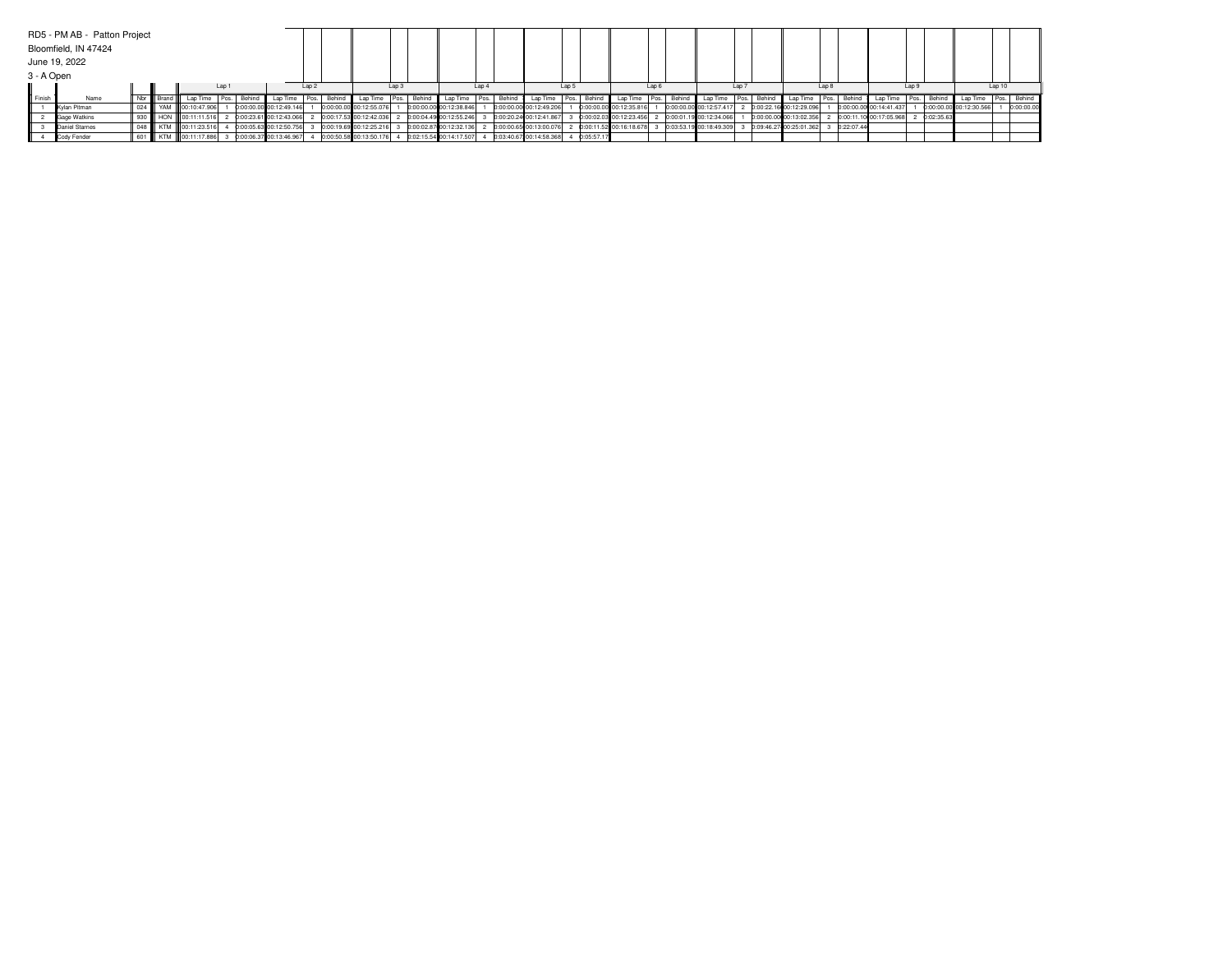|                  | RD5 - PM AB - Patton Project |     |          |                      |       |        |                         |                  |        |                                                   |             |                         |                  |             |                          |       |            |                         |                  |                         |             |                         |       |            |                         |       |            |                         |             |            |
|------------------|------------------------------|-----|----------|----------------------|-------|--------|-------------------------|------------------|--------|---------------------------------------------------|-------------|-------------------------|------------------|-------------|--------------------------|-------|------------|-------------------------|------------------|-------------------------|-------------|-------------------------|-------|------------|-------------------------|-------|------------|-------------------------|-------------|------------|
|                  | Bloomfield, IN 47424         |     |          |                      |       |        |                         |                  |        |                                                   |             |                         |                  |             |                          |       |            |                         |                  |                         |             |                         |       |            |                         |       |            |                         |             |            |
|                  | June 19, 2022                |     |          |                      |       |        |                         |                  |        |                                                   |             |                         |                  |             |                          |       |            |                         |                  |                         |             |                         |       |            |                         |       |            |                         |             |            |
| 3 - A Open       |                              |     |          |                      |       |        |                         |                  |        |                                                   |             |                         |                  |             |                          |       |            |                         |                  |                         |             |                         |       |            |                         |       |            |                         |             |            |
|                  |                              |     |          |                      | Lap 1 |        |                         | Lap <sub>2</sub> |        | Lap <sub>3</sub>                                  |             |                         | Lap <sub>4</sub> |             |                          | Lap 5 |            |                         | Lap6             |                         | Lap         |                         | Lap 8 |            |                         | Lap 9 |            |                         | Lap10       |            |
| <b>II</b> Finish | Name                         | Nbr | Brand II | Lap Time             |       | Behind |                         |                  | Behind | Lap Time                                          | Pos. Behind | Lap Time                |                  | Pos. Behind | Lap Time   Pos.   Behind |       |            | Lap Time                | Behind<br>Pos. I | Lap Time                | Pos. Behind | Lap Time                | Pos.  | Behind     | Lap Time                | Pos.  | Behind     | Lap Time                | Pos. Behind |            |
|                  | Kvlan Pitman                 | 024 |          | YAM 100:10:47.906    |       |        | 0:00:00.00 00:12:49.146 |                  |        | 0:00:00.00 00:12:55.076                           |             | 0:00:00.00 00:12:38.846 |                  |             | 0:00:00.00 00:12:49.206  |       |            | 0:00:00.00 00:12:35.816 |                  | 0:00:00.00 00:12:57.417 |             | 0:00:22.16 00:12:29.096 |       |            | 0:00:00.00 00:14:41.437 |       |            | 0:00:00.00 00:12:30.566 |             | 0:00:00.00 |
|                  | Gage Watkins                 | 930 |          | HON 00:11:11.516     |       |        | 0:00:23.61 00:12:43.066 |                  |        | 0:00:17.53 00:12:42.036 2 0:00:04.49 00:12:55.246 |             |                         |                  |             | 0:00:20.24 00:12:41.867  |       |            | 0:00:02.03 00:12:23.456 |                  | 0:00:01.19 00:12:34.066 |             | 0:00:00.00 00:13:02.356 |       |            | 0:00:11.10 00:17:05.968 |       | 0:02:35.63 |                         |             |            |
|                  | Daniel Starnes               |     |          | 048 KTM 00:11:23.516 |       |        | 0:00:05.63 00:12:50.756 |                  |        | 0:00:19.69 00:12:25.216 3                         |             | 0:00:02.87 00:12:32.136 |                  |             | 0:00:00.65 00:13:00.076  |       |            | 0:00:11.52 00:16:18.678 |                  | 0:03:53.19 00:18:49.309 |             | 0:09:46.27 00:25:01.362 |       | 0:22:07.44 |                         |       |            |                         |             |            |
|                  | Cody Fender                  |     |          | 601 KTM 00:11:17.886 |       |        | 0:00:06.37 00:13:46.967 |                  |        | 0:00:50.58 00:13:50.176 4 0:02:15.54 00:14:17.507 |             |                         |                  |             | 0:03:40.67 00:14:58.368  |       | 0:05:57.17 |                         |                  |                         |             |                         |       |            |                         |       |            |                         |             |            |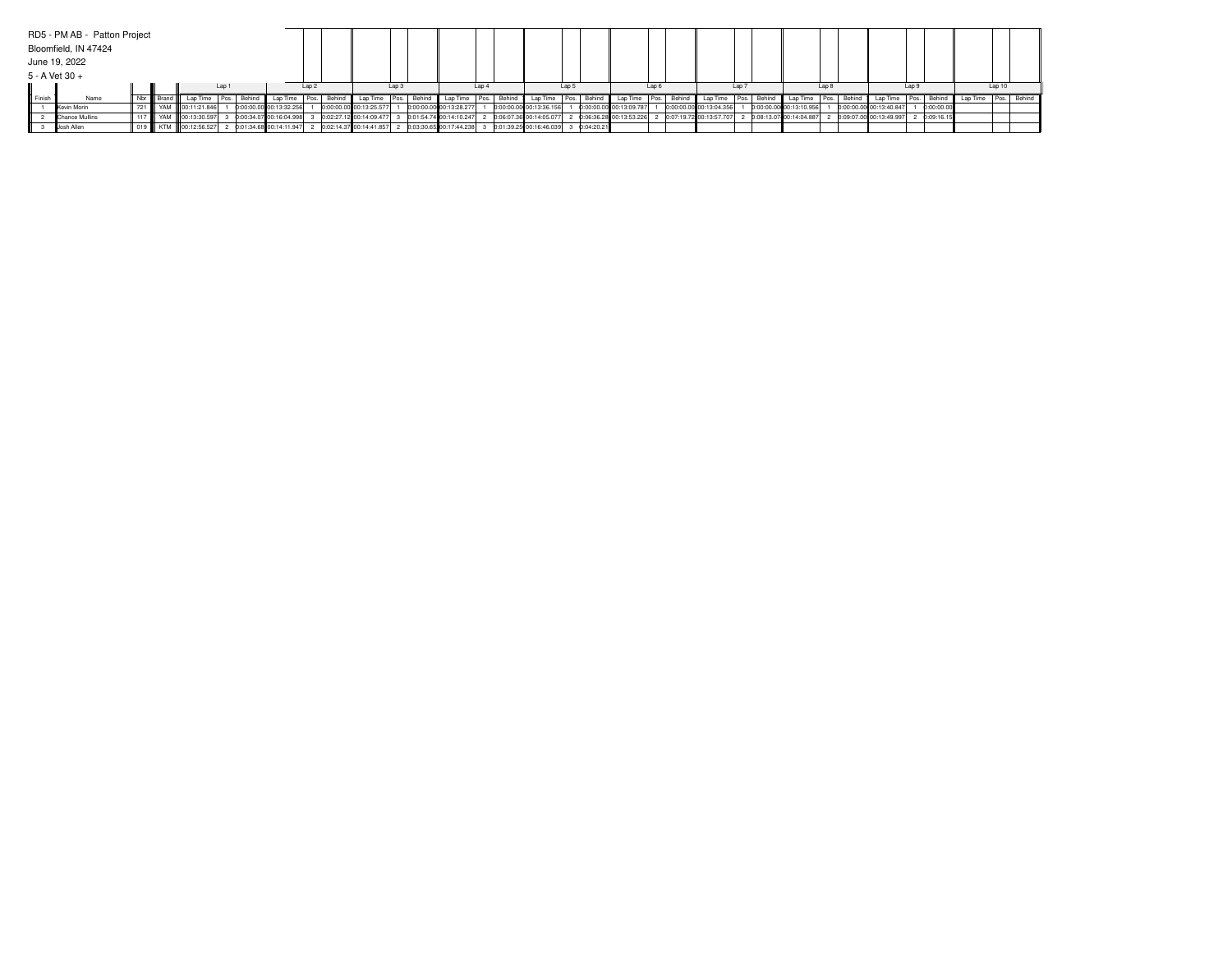|                  | RD5 - PM AB - Patton Project |     |                      |       |        |                         |          |                 |                         |       |          |                         |                  |        |                                                                                                         |                  |              |                         |       |             |                                                                             |                  |             |                         |        |        |                                      |       |             |                      |       |  |
|------------------|------------------------------|-----|----------------------|-------|--------|-------------------------|----------|-----------------|-------------------------|-------|----------|-------------------------|------------------|--------|---------------------------------------------------------------------------------------------------------|------------------|--------------|-------------------------|-------|-------------|-----------------------------------------------------------------------------|------------------|-------------|-------------------------|--------|--------|--------------------------------------|-------|-------------|----------------------|-------|--|
|                  | Bloomfield, IN 47424         |     |                      |       |        |                         |          |                 |                         |       |          |                         |                  |        |                                                                                                         |                  |              |                         |       |             |                                                                             |                  |             |                         |        |        |                                      |       |             |                      |       |  |
|                  | June 19, 2022                |     |                      |       |        |                         |          |                 |                         |       |          |                         |                  |        |                                                                                                         |                  |              |                         |       |             |                                                                             |                  |             |                         |        |        |                                      |       |             |                      |       |  |
|                  | 5 - A Vet 30 +               |     |                      |       |        |                         |          |                 |                         |       |          |                         |                  |        |                                                                                                         |                  |              |                         |       |             |                                                                             |                  |             |                         |        |        |                                      |       |             |                      |       |  |
|                  |                              |     |                      | Lap 1 |        |                         | Lap 2    |                 |                         | Lap 3 |          |                         | Lap <sub>4</sub> |        |                                                                                                         | Lap <sub>5</sub> |              |                         | Lap 6 |             |                                                                             | Lap <sub>7</sub> |             |                         | Lap 8  |        |                                      | Lap 9 |             |                      | Lap10 |  |
| <b>II</b> Finish | Name                         | Nbr |                      |       | Behind | Lap Time                | l Pos. I | Behind <b>I</b> | Lap Time Pos.           |       | Behind I | Lap Time   Pos.         |                  | Behind | Lap Time                                                                                                |                  | Pos. Behind  | Lap Time                |       | Pos. Behind | Lap Time                                                                    |                  | Pos. Behind | Lap Time                | I Pos. | Behind | Lap Time                             |       | Pos. Behind | Lap Time Pos. Behind |       |  |
|                  | Kevin Morin                  |     | 721 WAM 00:11:21.846 |       |        | 0:00:00.00 00:13:32.256 |          |                 | 0:00:00.00 00:13:25.577 |       |          | 0:00:00.00 00:13:28.277 |                  |        | 0:00:00.00 00:13:36.156                                                                                 |                  |              | 0:00:00.00 00:13:09.787 |       |             | 0:00:00.00 00:13:04.356                                                     |                  |             | 0:00:00.00 00:13:10.956 |        |        | 0:00:00.00 00:13:40.847              |       | 0:00:00.00  |                      |       |  |
|                  | Chance Mullins               |     | 117 WAM 00:13:30.597 |       |        | 0:00:34.07 00:16:04.998 |          |                 |                         |       |          |                         |                  |        | $0.02:27.12$ 00:14:09.477 3 0:01:54.74 00:14:10.247 2 0:06:07.36 00:14:05.077                           |                  |              |                         |       |             | 0.06:36.28 00:13:53.226 2 0:07:19.72 00:13:57.707 2 0:08:13.07 00:14:04.887 |                  |             |                         |        |        | 0:09:07.00 00:13:49.997 2 0:09:16.15 |       |             |                      |       |  |
|                  | Josh Allen                   |     | 019 KTM 00:12:56.527 |       |        |                         |          |                 |                         |       |          |                         |                  |        | 2 0:01:34.68 00:14:11.947 2 0:02:14.37 00:14:41.857 2 0:03:30.65 00:17:44.238 3 0:01:39.25 00:16:46.039 |                  | 3 0:04:20.21 |                         |       |             |                                                                             |                  |             |                         |        |        |                                      |       |             |                      |       |  |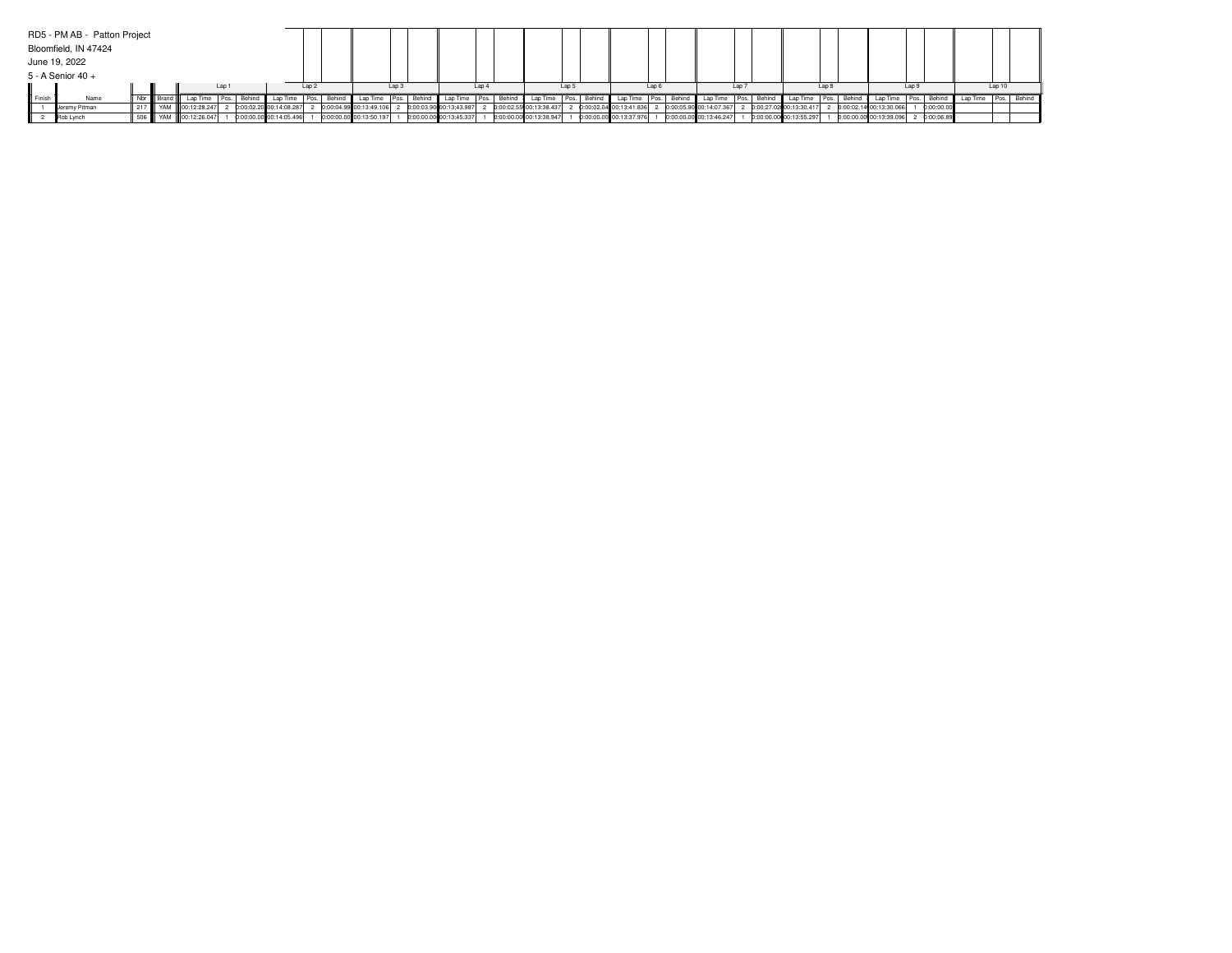|       | RD5 - PM AB - Patton Project |     |  |                        |  |        |                         |       |        |                         |          |        |                         |            |        |                         |                  |                     |                         |       |             |                         |                  |        |                         |       |        |                         |     |              |          |       |             |
|-------|------------------------------|-----|--|------------------------|--|--------|-------------------------|-------|--------|-------------------------|----------|--------|-------------------------|------------|--------|-------------------------|------------------|---------------------|-------------------------|-------|-------------|-------------------------|------------------|--------|-------------------------|-------|--------|-------------------------|-----|--------------|----------|-------|-------------|
|       | Bloomfield, IN 47424         |     |  |                        |  |        |                         |       |        |                         |          |        |                         |            |        |                         |                  |                     |                         |       |             |                         |                  |        |                         |       |        |                         |     |              |          |       |             |
|       | June 19, 2022                |     |  |                        |  |        |                         |       |        |                         |          |        |                         |            |        |                         |                  |                     |                         |       |             |                         |                  |        |                         |       |        |                         |     |              |          |       |             |
|       | 5 - A Senior 40 +            |     |  |                        |  |        |                         |       |        |                         |          |        |                         |            |        |                         |                  |                     |                         |       |             |                         |                  |        |                         |       |        |                         |     |              |          |       |             |
| Lap ' |                              |     |  |                        |  |        |                         | 1an 2 |        |                         | $1$ an 3 |        |                         | $1$ an $4$ |        |                         | Lap <sub>5</sub> |                     |                         | Lap 6 |             |                         | Lap <sub>7</sub> |        |                         | Lap 8 |        |                         | lan |              |          | Lap10 |             |
|       | Name                         |     |  |                        |  | Behind |                         |       | Behind |                         | I Pos.   | Behind | Lap Time   Pos.         |            | Behind | Lap Time                | Pos.             | <sup>1</sup> Behinu | Lap Time                |       | Pos. Behind | Lap Time                |                  | Behinc | Lap Time                |       | Behind |                         |     | Behind       | Lap Time |       | Pos. Behind |
|       | Jeremy Pitman                | 217 |  | YAM 00:12:28.247       |  |        | 0:00:02.20 00:14:08.287 |       |        | 0:00:04.99 00:13:49.106 |          |        | 0:00:03.90 00:13:43.987 |            |        | 0:00:02.55 00:13:38.437 |                  |                     | 0:00:02.04 00:13:41.836 |       |             | 0:00:05.90 00:14:07.367 |                  |        | 0:00:27.02 00:13:30.417 |       |        | 0:00:02.14 00:13:30.066 |     | 0:00:00.00   |          |       |             |
|       | Rob Lynch                    |     |  | 506 W YAM 00:12:26.047 |  |        | 0:00:00.00 00:14:05.496 |       |        | 0:00:00.00 00:13:50.197 |          |        | 0:00:00.00 00:13:45.337 |            |        | 0:00:00.00 00:13:38.947 |                  |                     | 0:00:00.00 00:13:37.976 |       |             | 0:00:00.00 00:13:46.247 |                  |        | 0:00:00.00 00:13:55.297 |       |        | 0:00:00.00 00:13:39.096 |     | 2 0:00:06.89 |          |       |             |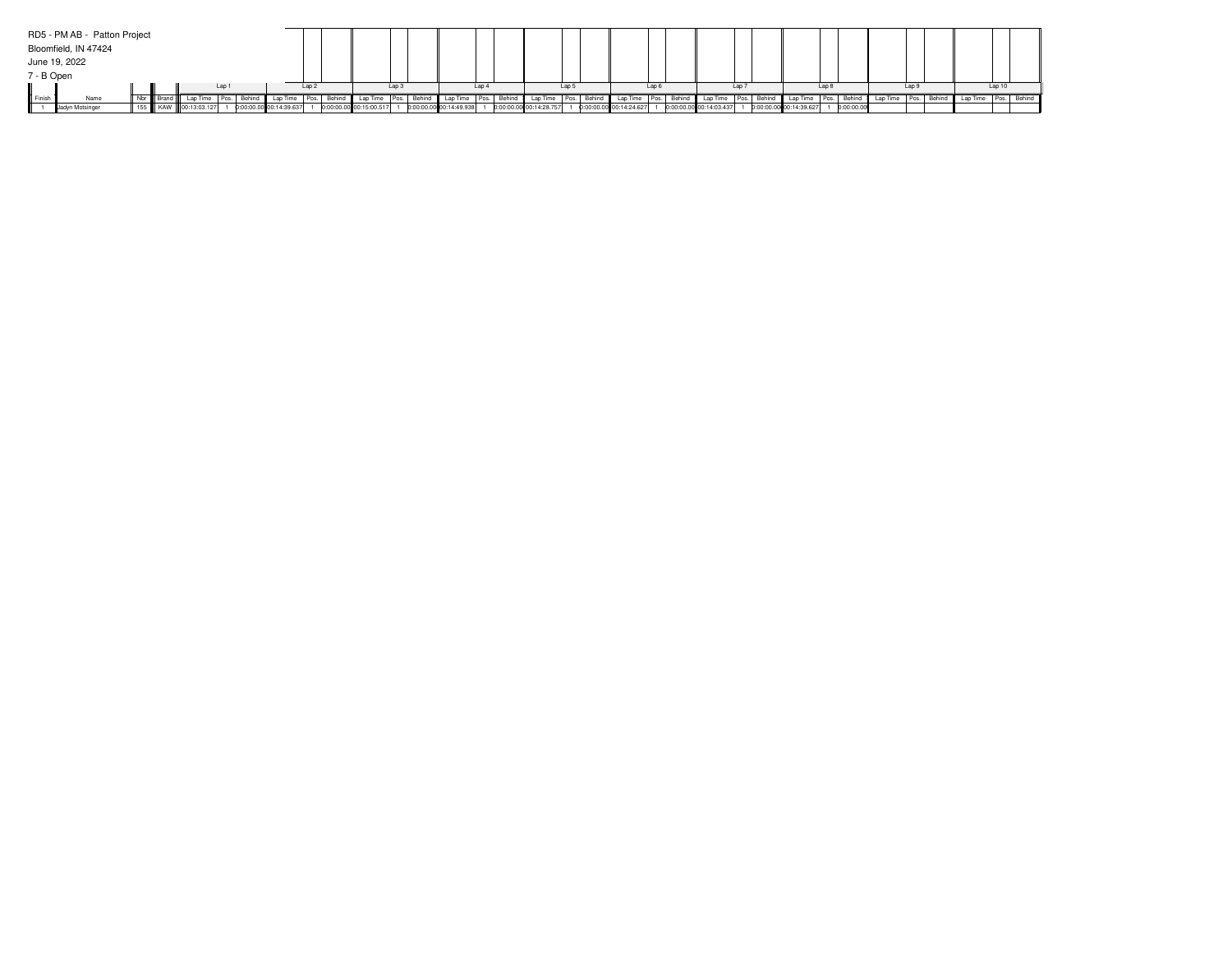|                   | RD5 - PM AB - Patton Project |     |                      |     |        |                         |     |                         |        |        |                         |                  |        |                         |       |        |                         |       |             |                         |                  |        |                         |       |            |          |     |             |          |        |             |
|-------------------|------------------------------|-----|----------------------|-----|--------|-------------------------|-----|-------------------------|--------|--------|-------------------------|------------------|--------|-------------------------|-------|--------|-------------------------|-------|-------------|-------------------------|------------------|--------|-------------------------|-------|------------|----------|-----|-------------|----------|--------|-------------|
|                   | Bloomfield, IN 47424         |     |                      |     |        |                         |     |                         |        |        |                         |                  |        |                         |       |        |                         |       |             |                         |                  |        |                         |       |            |          |     |             |          |        |             |
|                   | June 19, 2022                |     |                      |     |        |                         |     |                         |        |        |                         |                  |        |                         |       |        |                         |       |             |                         |                  |        |                         |       |            |          |     |             |          |        |             |
| 7 - B Open        |                              |     |                      |     |        |                         |     |                         |        |        |                         |                  |        |                         |       |        |                         |       |             |                         |                  |        |                         |       |            |          |     |             |          |        |             |
|                   |                              |     |                      | Lap |        |                         | Lap |                         | Lap 3  |        |                         | Lap <sub>4</sub> |        |                         | Lap 5 |        |                         | Lap 6 |             |                         | Lap <sub>7</sub> |        |                         | Lap 8 |            |          | Lap |             |          | Lap 10 |             |
| <b>III</b> Finist | Name                         | Nbr |                      |     | Behind |                         |     |                         | I Pos. | Behind | Lap Time Pos.           |                  | Behind | Lap Time                | Pos.  | Behin, | Lap Time                |       | Pos. Behind | Lap Time                | Pos.             | Behing | Lap Time                | Pos.  | Behind     | Lap Time |     | Pos. Behind | Lap Time |        | Pos. Behind |
|                   | Jadyn Motsinger              |     | 155 KAW 00:13:03.127 |     |        | 0:00:00.00 00:14:39.637 |     | 0:00:00.00 00:15:00.517 |        |        | 0:00:00.00 00:14:49.938 |                  |        | 0:00:00.00 00:14:28.757 |       |        | 0:00:00.00 00:14:24.627 |       |             | 0:00:00.00 00:14:03.437 |                  |        | 0:00:00.00 00:14:39.627 |       | 0:00:00.00 |          |     |             |          |        |             |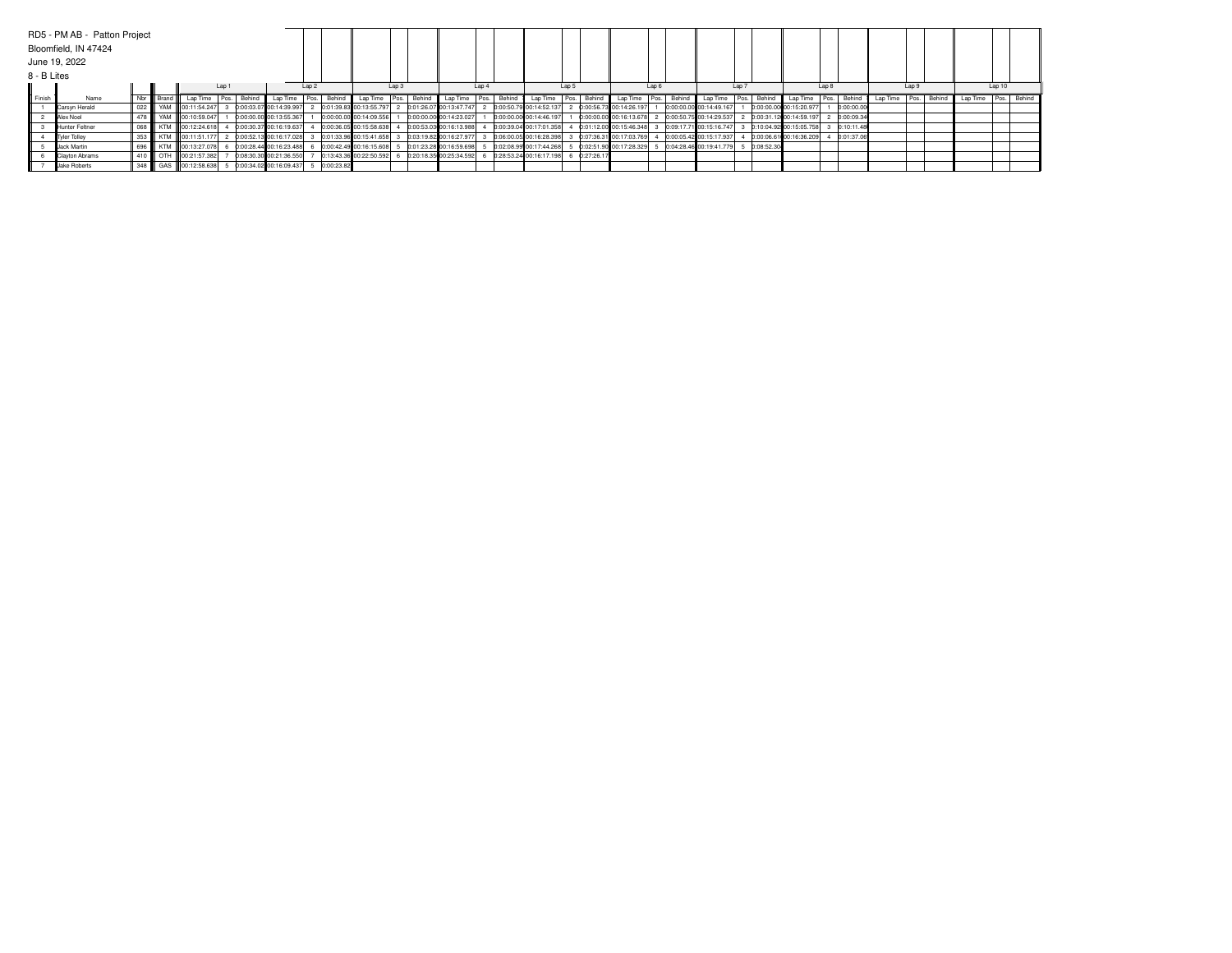|               | RD5 - PM AB - Patton Project |           |                          |       |        |                         |       |             |                          |                  |                         |                  |        |                         |       |             |                         |      |             |                         |       |            |                         |       |            |          |       |             |                      |        |  |
|---------------|------------------------------|-----------|--------------------------|-------|--------|-------------------------|-------|-------------|--------------------------|------------------|-------------------------|------------------|--------|-------------------------|-------|-------------|-------------------------|------|-------------|-------------------------|-------|------------|-------------------------|-------|------------|----------|-------|-------------|----------------------|--------|--|
|               | Bloomfield, IN 47424         |           |                          |       |        |                         |       |             |                          |                  |                         |                  |        |                         |       |             |                         |      |             |                         |       |            |                         |       |            |          |       |             |                      |        |  |
|               | June 19, 2022                |           |                          |       |        |                         |       |             |                          |                  |                         |                  |        |                         |       |             |                         |      |             |                         |       |            |                         |       |            |          |       |             |                      |        |  |
| 8 - B Lites   |                              |           |                          |       |        |                         |       |             |                          |                  |                         |                  |        |                         |       |             |                         |      |             |                         |       |            |                         |       |            |          |       |             |                      |        |  |
|               |                              |           |                          | Lap 1 |        |                         | Lap 2 |             |                          | Lap <sub>3</sub> |                         | Lap <sub>4</sub> |        |                         | Lap 5 |             |                         | Lap6 |             |                         | Lap 7 |            |                         | Lap 8 |            |          | Lap 9 |             |                      | Lap 10 |  |
| <b>Einish</b> | Name                         | Nbr Brand | Lap Time                 |       | Behind | Lap Time                |       | Pos. Behind | Lap Time   Pos.   Behind |                  | Lap Time   Pos.         |                  | Behind | Lap Time                |       | Pos. Behind | Lap Time                |      | Pos. Behind | Lap Time                | Pos.  | Behind     | Lap Time Pos.           |       | Behind     | Lap Time |       | Pos. Behind | Lap Time Pos. Behind |        |  |
|               | Carsyn Herald                |           | 022   YAM   00:11:54.247 |       |        | 0:00:03.07 00:14:39.997 |       |             | 0:01:39.83 00:13:55.797  |                  | 0:01:26.07 00:13:47.747 |                  |        | 0:00:50.79 00:14:52.137 |       |             | 0:00:56.73 00:14:26.197 |      |             | 0:00:00.00 00:14:49.167 |       |            | 0:00:00.00 00:15:20.977 |       | 0:00:00.00 |          |       |             |                      |        |  |
|               | Alex Noel                    |           | 478 W YAM 00:10:59.047   |       |        | 0:00:00.00 00:13:55.367 |       |             | 0:00:00.00 00:14:09.556  |                  | 0:00:00.00 00:14:23.027 |                  |        | 0:00:00.00 00:14:46.197 |       |             | 0:00:00.00 00:16:13.678 |      |             | 0:00:50.75 00:14:29.537 |       |            | 0:00:31.12 00:14:59.197 |       | 0:00:09.34 |          |       |             |                      |        |  |
|               | Hunter Feltner               |           | 068 KTM 00:12:24.618     |       |        | 0:00:30.37 00:16:19.637 |       |             | 0:00:36.05 00:15:58.638  |                  | 0:00:53.03 00:16:13.988 |                  |        | 0:00:39.04 00:17:01.358 |       |             | 0:01:12.00 00:15:46.348 |      |             | 0:09:17.71 00:15:16.747 |       |            | 0:10:04.92 00:15:05.758 |       | 0:10:11.48 |          |       |             |                      |        |  |
|               | Tyler Tolley                 |           | 353   KTM   00:11:51.177 |       |        | 0:00:52.13 00:16:17.028 |       |             | 0:01:33.96 00:15:41.658  |                  | 0:03:19.82 00:16:27.977 |                  |        | 0:06:00.05 00:16:28.398 |       |             | 0:07:36.31 00:17:03.769 |      |             | 0:00:05.42 00:15:17.937 |       |            | 0:00:06.61 00:16:36.209 |       | 0:01:37.06 |          |       |             |                      |        |  |
|               | Jack Martin                  |           | 696   KTM   00:13:27.078 |       |        | 0:00:28.44 00:16:23.488 |       |             | 0:00:42.49 00:16:15.608  |                  | 0:01:23.28 00:16:59.698 |                  |        | 0:02:08.99 00:17:44.268 |       |             | 0:02:51.90 00:17:28.329 |      |             | 0:04:28.46 00:19:41.779 |       | 0:08:52.30 |                         |       |            |          |       |             |                      |        |  |
|               | Clayton Abrams               |           | 410   OTH   00:21:57.382 |       |        | 0:08:30.30 00:21:36.550 |       |             | 0:13:43.36 00:22:50.592  |                  | 0:20:18.35 00:25:34.592 |                  |        | 0:28:53.24 00:16:17.198 |       | 0:27:26.17  |                         |      |             |                         |       |            |                         |       |            |          |       |             |                      |        |  |
|               | Jake Roberts                 |           | 348   GAS   00:12:58.638 |       |        | 0:00:34.02 00:16:09.437 |       | 0:00:23.82  |                          |                  |                         |                  |        |                         |       |             |                         |      |             |                         |       |            |                         |       |            |          |       |             |                      |        |  |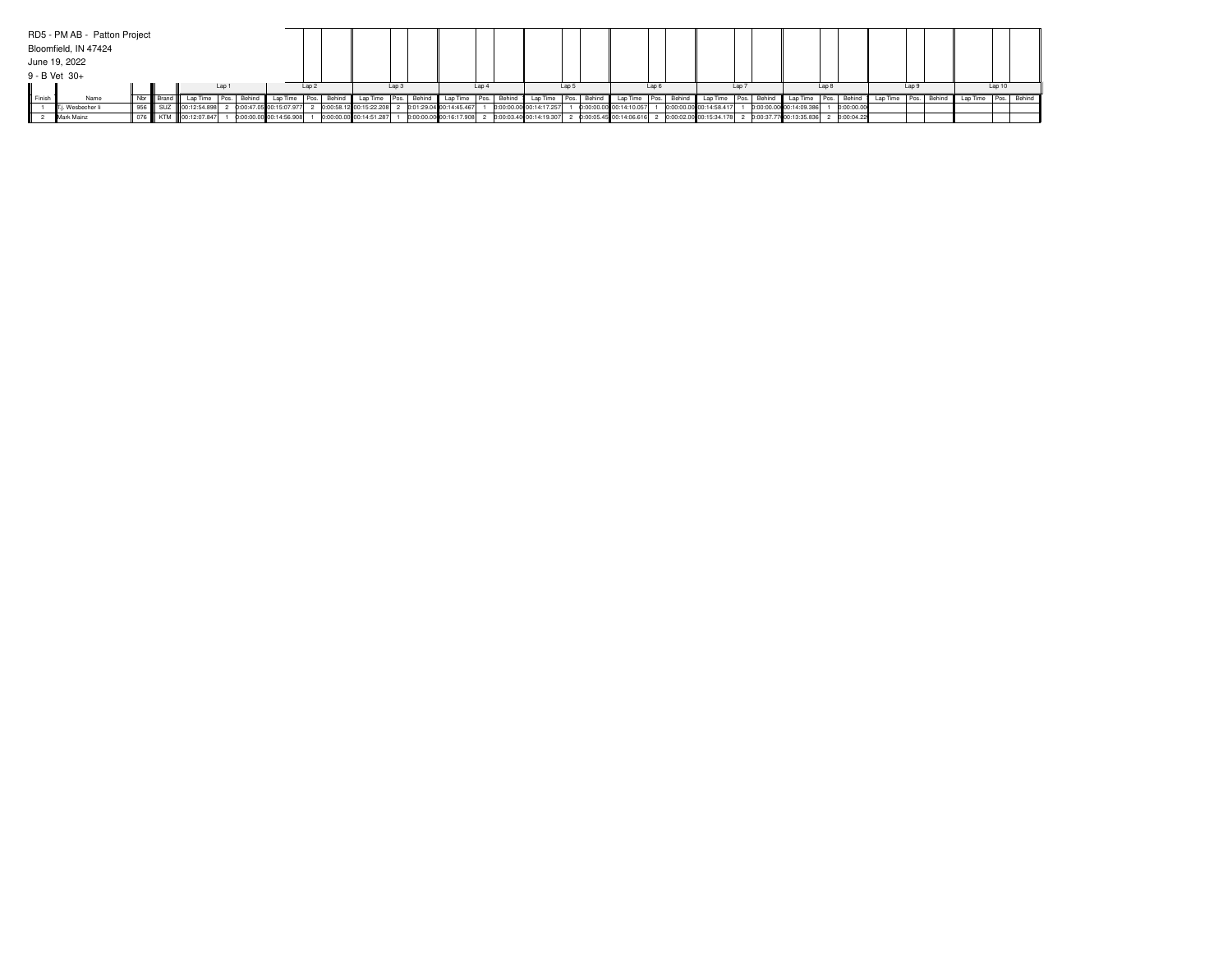|                 | RD5 - PM AB - Patton Project |  |                      |       |        |                         |       |        |                         |          |        |                         |            |        |                                                   |                  |       |                         |       |             |                                                                                            |                  |        |                         |       |            |          |     |             |                      |        |  |
|-----------------|------------------------------|--|----------------------|-------|--------|-------------------------|-------|--------|-------------------------|----------|--------|-------------------------|------------|--------|---------------------------------------------------|------------------|-------|-------------------------|-------|-------------|--------------------------------------------------------------------------------------------|------------------|--------|-------------------------|-------|------------|----------|-----|-------------|----------------------|--------|--|
|                 | Bloomfield, IN 47424         |  |                      |       |        |                         |       |        |                         |          |        |                         |            |        |                                                   |                  |       |                         |       |             |                                                                                            |                  |        |                         |       |            |          |     |             |                      |        |  |
|                 | June 19, 2022                |  |                      |       |        |                         |       |        |                         |          |        |                         |            |        |                                                   |                  |       |                         |       |             |                                                                                            |                  |        |                         |       |            |          |     |             |                      |        |  |
|                 | 9 - B Vet 30+                |  |                      |       |        |                         |       |        |                         |          |        |                         |            |        |                                                   |                  |       |                         |       |             |                                                                                            |                  |        |                         |       |            |          |     |             |                      |        |  |
|                 |                              |  |                      | Lap ' |        |                         | 1an 2 |        |                         | $1$ an 3 |        |                         | $1$ an $4$ |        |                                                   | Lap <sub>5</sub> |       |                         | Lap 6 |             |                                                                                            | Lap <sub>7</sub> |        |                         | Lap 8 |            |          | lan |             |                      | Lap 10 |  |
| <b>II</b> Finis | Name                         |  |                      |       | Behind |                         |       | Behind |                         | I Pos.   | Behind | Lap Time   Pos.         |            | Behind | Lap Time                                          | Pos.             | Behin | Lap Time                |       | Pos. Behind | Lap Time                                                                                   |                  | Behinc | Lap Time                |       | Behind     | Lap Time |     | Pos. Behind | Lap Time Pos. Behind |        |  |
|                 | i. Wesbecher li              |  | 00:12:54.898         |       |        | 0:00:47.05 00:15:07.977 |       |        | 0:00:58.12 00:15:22.208 |          |        | 0:01:29.04 00:14:45.467 |            |        | 0:00:00.00 00:14:17.257                           |                  |       | 0:00:00.00 00:14:10.057 |       |             | 0:00:00.00 00:14:58.417                                                                    |                  |        | 0:00:00.00 00:14:09.386 |       | 0:00:00.00 |          |     |             |                      |        |  |
|                 | Mark Mainz                   |  | 076 KTM 00:12:07.847 |       |        | 0:00:00.00 00:14:56.908 |       |        | 0:00:00.00 00:14:51.287 |          |        |                         |            |        | 0:00:00.00 00:16:17.908 2 0:00:03.40 00:14:19.307 |                  |       |                         |       |             | 2 0:00:05.45 00:14:06.616 2 0:00:02.00 00:15:34.178 2 0:00:37.77 00:13:35.836 2 0:00:04.22 |                  |        |                         |       |            |          |     |             |                      |        |  |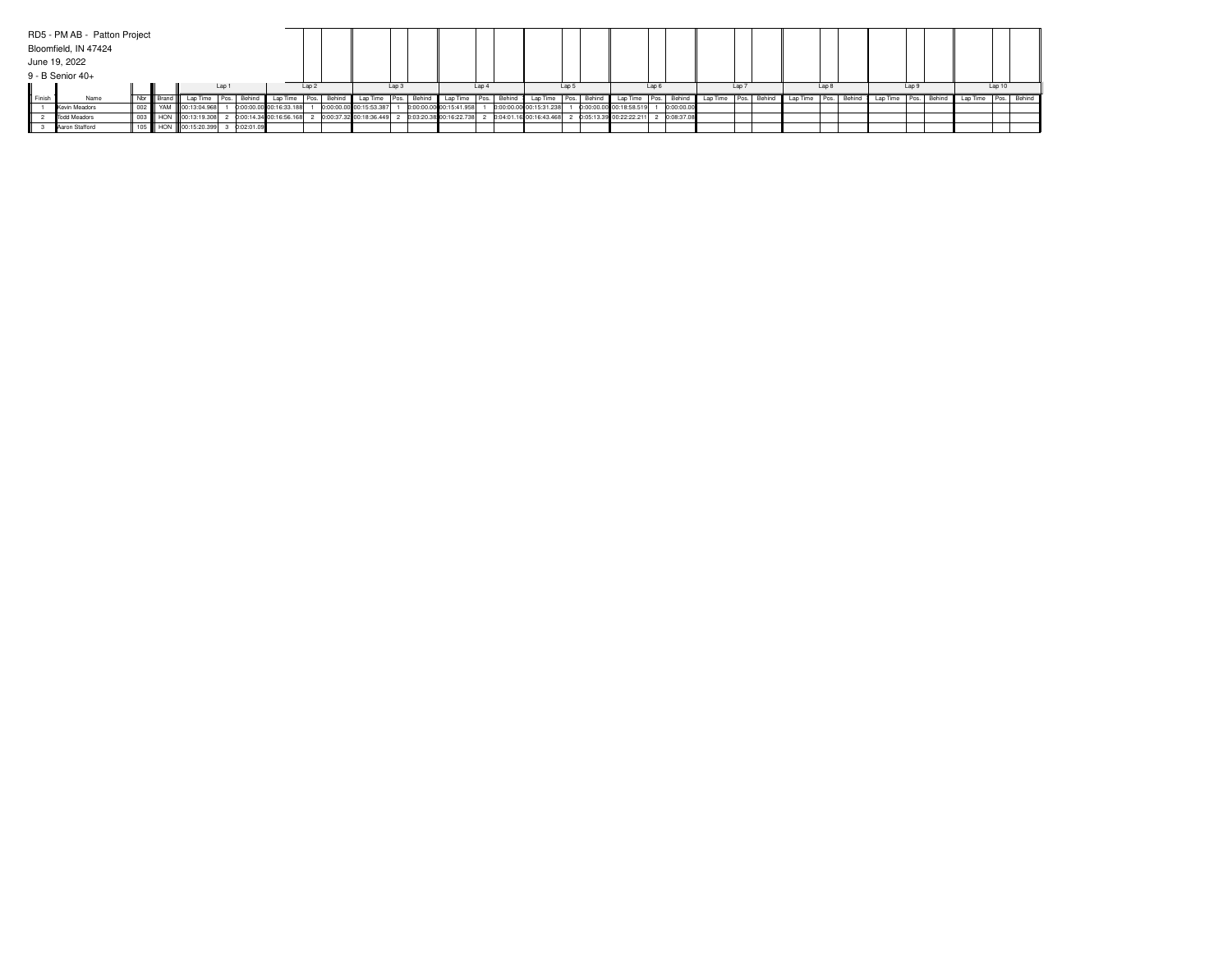|                  | RD5 - PM AB - Patton Project |     |                      |       |              |                           |            |        |                         |                  |        |                                                   |                  |        |                           |       |             |                           |       |              |          |       |             |          |       |        |          |       |             |          |        |             |
|------------------|------------------------------|-----|----------------------|-------|--------------|---------------------------|------------|--------|-------------------------|------------------|--------|---------------------------------------------------|------------------|--------|---------------------------|-------|-------------|---------------------------|-------|--------------|----------|-------|-------------|----------|-------|--------|----------|-------|-------------|----------|--------|-------------|
|                  | Bloomfield, IN 47424         |     |                      |       |              |                           |            |        |                         |                  |        |                                                   |                  |        |                           |       |             |                           |       |              |          |       |             |          |       |        |          |       |             |          |        |             |
|                  | June 19, 2022                |     |                      |       |              |                           |            |        |                         |                  |        |                                                   |                  |        |                           |       |             |                           |       |              |          |       |             |          |       |        |          |       |             |          |        |             |
|                  | 9 - B Senior 40+             |     |                      |       |              |                           |            |        |                         |                  |        |                                                   |                  |        |                           |       |             |                           |       |              |          |       |             |          |       |        |          |       |             |          |        |             |
|                  |                              |     |                      | Lap ' |              |                           | $1$ an $2$ |        |                         | Lap <sub>3</sub> |        |                                                   | Lap <sub>4</sub> |        |                           | Lap 5 |             |                           | Lap 6 |              |          | Lap 7 |             |          | Lap 8 |        |          | Lap 9 |             |          | Lap 10 |             |
| <b>II</b> Finish | Name                         | Nbr |                      |       | Behind       | Lap Time                  | Pos.       | Behind | Lap Time                | I Pos.           | Behind | Lap Time   Pos.                                   |                  | Behind | Lap Time                  |       | Pos. Behing | Lap Time                  |       | Pos. Behind  | Lap Time |       | Pos. Behind | Lap Time | Pos.  | Behind | Lap Time |       | Pos. Behind | Lap Time |        | Pos. Behind |
|                  | Kevin Meadors                |     | 002 WAM 00:13:04.968 |       |              | 0:00:00.00 00:16:33.188   |            |        | 0:00:00.00 00:15:53.387 |                  |        | 0:00:00.00 00:15:41.958                           |                  |        | 0:00:00.00 00:15:31.238   |       |             | 0:00:00.00 00:18:58.519   |       | 0:00:00.00   |          |       |             |          |       |        |          |       |             |          |        |             |
|                  | Todd Meadors                 |     | 003 HON 00:13:19.308 |       |              | 2 0:00:14.34 00:16:56.168 |            |        |                         |                  |        | 0:00:37.32 00:18:36.449 2 0:03:20.38 00:16:22.738 |                  |        | 2 0:04:01.16 00:16:43.468 |       |             | 2 0:05:13.39 00:22:22.211 |       | 2 0:08:37.08 |          |       |             |          |       |        |          |       |             |          |        |             |
|                  | Aaron Stafford               |     | 105 HON 00:15:20.399 |       | 3 0:02:01.09 |                           |            |        |                         |                  |        |                                                   |                  |        |                           |       |             |                           |       |              |          |       |             |          |       |        |          |       |             |          |        |             |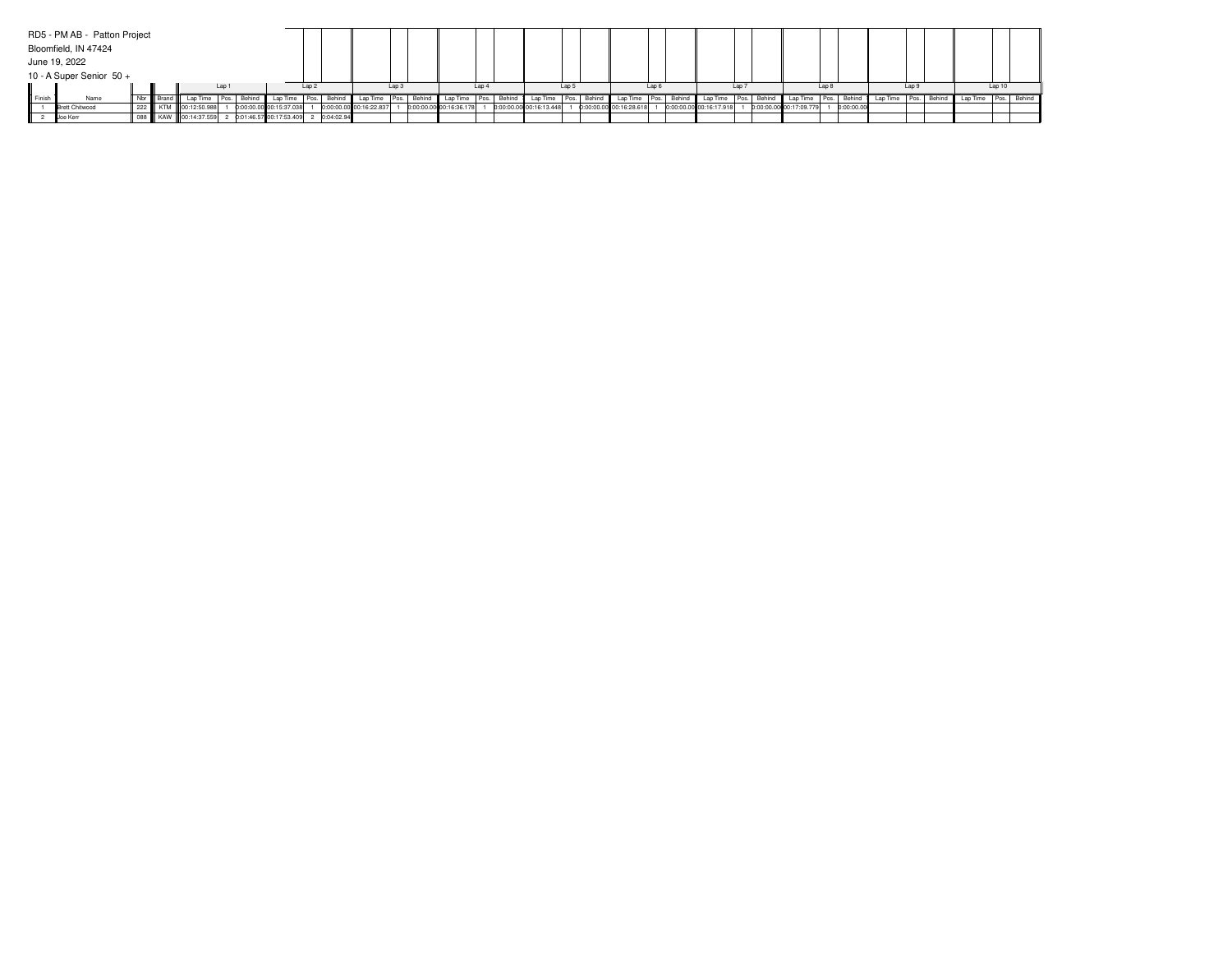|                  | RD5 - PM AB - Patton Project |  |             |                      |  |        |                                        |          |             |                         |          |        |                         |                  |        |                         |       |             |                         |       |             |                         |                  |             |                         |       |            |                      |       |                          |        |  |
|------------------|------------------------------|--|-------------|----------------------|--|--------|----------------------------------------|----------|-------------|-------------------------|----------|--------|-------------------------|------------------|--------|-------------------------|-------|-------------|-------------------------|-------|-------------|-------------------------|------------------|-------------|-------------------------|-------|------------|----------------------|-------|--------------------------|--------|--|
|                  | Bloomfield, IN 47424         |  |             |                      |  |        |                                        |          |             |                         |          |        |                         |                  |        |                         |       |             |                         |       |             |                         |                  |             |                         |       |            |                      |       |                          |        |  |
|                  | June 19, 2022                |  |             |                      |  |        |                                        |          |             |                         |          |        |                         |                  |        |                         |       |             |                         |       |             |                         |                  |             |                         |       |            |                      |       |                          |        |  |
|                  | 10 - A Super Senior 50 +     |  |             |                      |  |        |                                        |          |             |                         |          |        |                         |                  |        |                         |       |             |                         |       |             |                         |                  |             |                         |       |            |                      |       |                          |        |  |
| Lap              |                              |  |             |                      |  |        |                                        | 1an 2    |             |                         | Lap 3    |        |                         | Lap <sub>4</sub> |        |                         | Lap 5 |             |                         | Lap 6 |             |                         | Lap <sub>7</sub> |             |                         | Lap 8 |            |                      | Lap 9 |                          | Lap 10 |  |
| <b>II</b> Finish | Name                         |  | Nbr   Brand |                      |  | Behind | <b>I</b> Lap Time                      | l Pos. I | ., Behind I | Lap Time                | I Pos. I | Behind | Lap Time   Pos.         |                  | Behind | Lap Time                |       | Pos. Behind | Lap Time                |       | Pos. Behind | Lap Time                |                  | Pos. Behind | Lap Time                | Pos.  | Behind     | Lap Time Pos. Behind |       | Lap Time   Pos.   Behind |        |  |
|                  | <b>Brett Chitwood</b>        |  |             | 222 KTM 00:12:50.988 |  |        | 0:00:00.00 00:15:37.038                |          |             | 0:00:00.00 00:16:22.837 |          |        | 0:00:00.00 00:16:36.178 |                  |        | 0:00:00.00 00:16:13.448 |       |             | 0:00:00.00 00:16:28.618 |       |             | 0:00:00.00 00:16:17.918 |                  |             | 0:00:00.00 00:17:09.779 |       | 0:00:00.00 |                      |       |                          |        |  |
|                  | Joe Kerr                     |  |             | 088 KAW 00:14:37.559 |  |        | 2 0:01:46.57 00:17:53.409 2 0:04:02.94 |          |             |                         |          |        |                         |                  |        |                         |       |             |                         |       |             |                         |                  |             |                         |       |            |                      |       |                          |        |  |